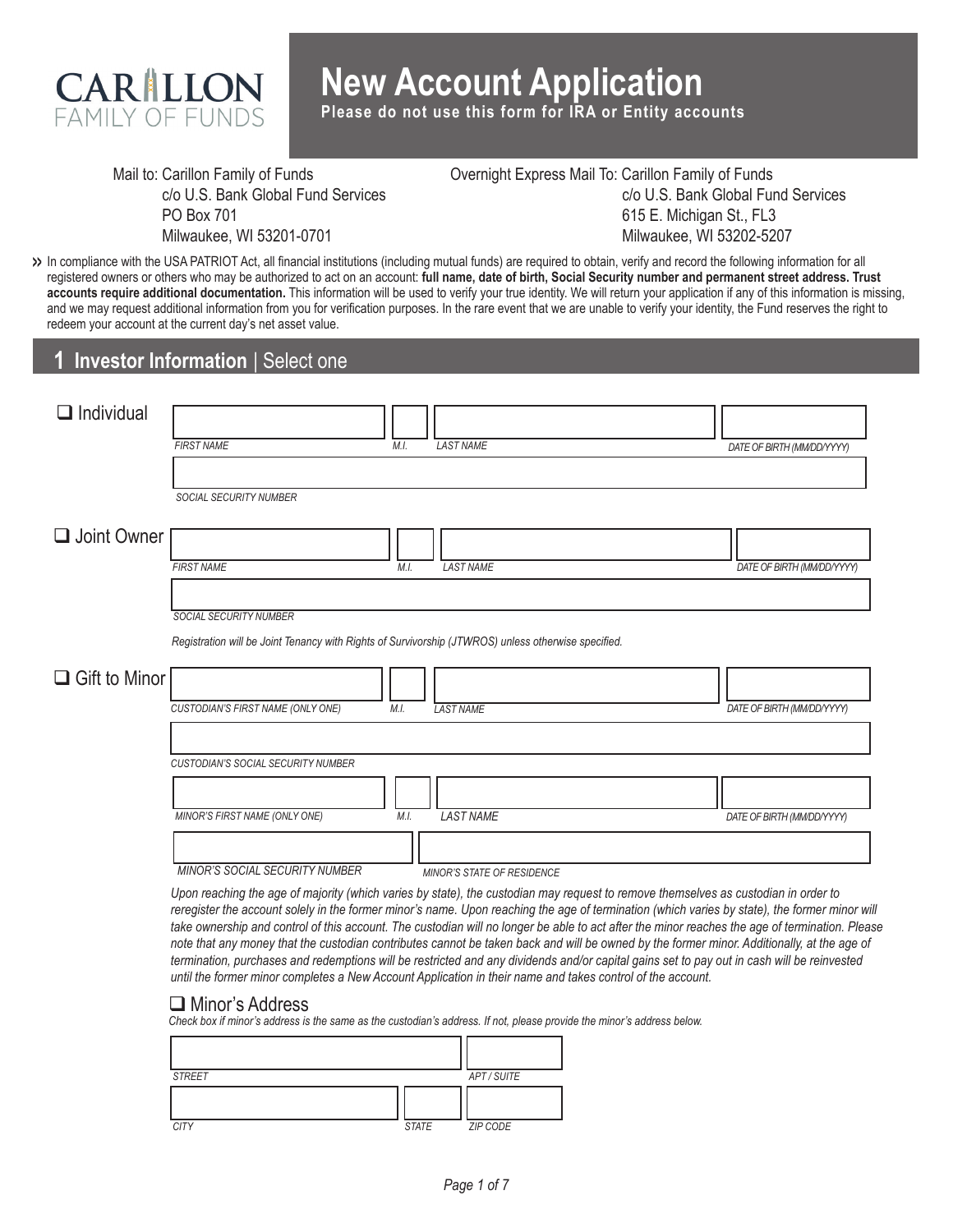

**Please do not use this form for IRA or Entity accounts**

Mail to: Carillon Family of Funds c/o U.S. Bank Global Fund Services PO Box 701 Milwaukee, WI 53201-0701

Overnight Express Mail To: Carillon Family of Funds c/o U.S. Bank Global Fund Services 615 E. Michigan St., FL3 Milwaukee, WI 53202-5207

In compliance with the USA PATRIOT Act, all financial institutions (including mutual funds) are required to obtain, verify and record the following information for all **>>** registered owners or others who may be authorized to act on an account: **full name, date of birth, Social Security number and permanent street address. Trust accounts require additional documentation.** This information will be used to verify your true identity. We will return your application if any of this information is missing, and we may request additional information from you for verification purposes. In the rare event that we are unable to verify your identity, the Fund reserves the right to redeem your account at the current day's net asset value.

# **1 Investor Information** | Select one

| $\Box$ Individual    |                                                                                                     |                                   |                            |
|----------------------|-----------------------------------------------------------------------------------------------------|-----------------------------------|----------------------------|
|                      | <b>FIRST NAME</b>                                                                                   | <b>LAST NAME</b><br>M.I.          | DATE OF BIRTH (MM/DD/YYYY) |
|                      |                                                                                                     |                                   |                            |
|                      | <b>SOCIAL SECURITY NUMBER</b>                                                                       |                                   |                            |
|                      |                                                                                                     |                                   |                            |
| Joint Owner          |                                                                                                     |                                   |                            |
|                      | <b>FIRST NAME</b>                                                                                   | <b>LAST NAME</b><br>M.I.          | DATE OF BIRTH (MM/DD/YYYY) |
|                      |                                                                                                     |                                   |                            |
|                      | <b>SOCIAL SECURITY NUMBER</b>                                                                       |                                   |                            |
|                      | Registration will be Joint Tenancy with Rights of Survivorship (JTWROS) unless otherwise specified. |                                   |                            |
|                      |                                                                                                     |                                   |                            |
| $\Box$ Gift to Minor |                                                                                                     |                                   |                            |
|                      | CUSTODIAN'S FIRST NAME (ONLY ONE)<br>M.I.                                                           | <b>LAST NAME</b>                  | DATE OF BIRTH (MM/DD/YYYY) |
|                      |                                                                                                     |                                   |                            |
|                      | CUSTODIAN'S SOCIAL SECURITY NUMBER                                                                  |                                   |                            |
|                      |                                                                                                     |                                   |                            |
|                      |                                                                                                     |                                   |                            |
|                      | MINOR'S FIRST NAME (ONLY ONE)                                                                       | <b>LAST NAME</b><br>M.I.          | DATE OF BIRTH (MM/DD/YYYY) |
|                      |                                                                                                     |                                   |                            |
|                      | <b>MINOR'S SOCIAL SECURITY NUMBER</b>                                                               | <b>MINOR'S STATE OF RESIDENCE</b> |                            |

*Upon reaching the age of majority (which varies by state), the custodian may request to remove themselves as custodian in order to reregister the account solely in the former minor's name. Upon reaching the age of termination (which varies by state), the former minor will take ownership and control of this account. The custodian will no longer be able to act after the minor reaches the age of termination. Please note that any money that the custodian contributes cannot be taken back and will be owned by the former minor. Additionally, at the age of termination, purchases and redemptions will be restricted and any dividends and/or capital gains set to pay out in cash will be reinvested until the former minor completes a New Account Application in their name and takes control of the account.* 

#### Minor's Address

*Check box if minor's address is the same as the custodian's address. If not, please provide the minor's address below.*

| <b>STREET</b> |              | APT / SUITE |
|---------------|--------------|-------------|
|               |              |             |
| <b>CITY</b>   | <b>STATE</b> | ZIP CODE    |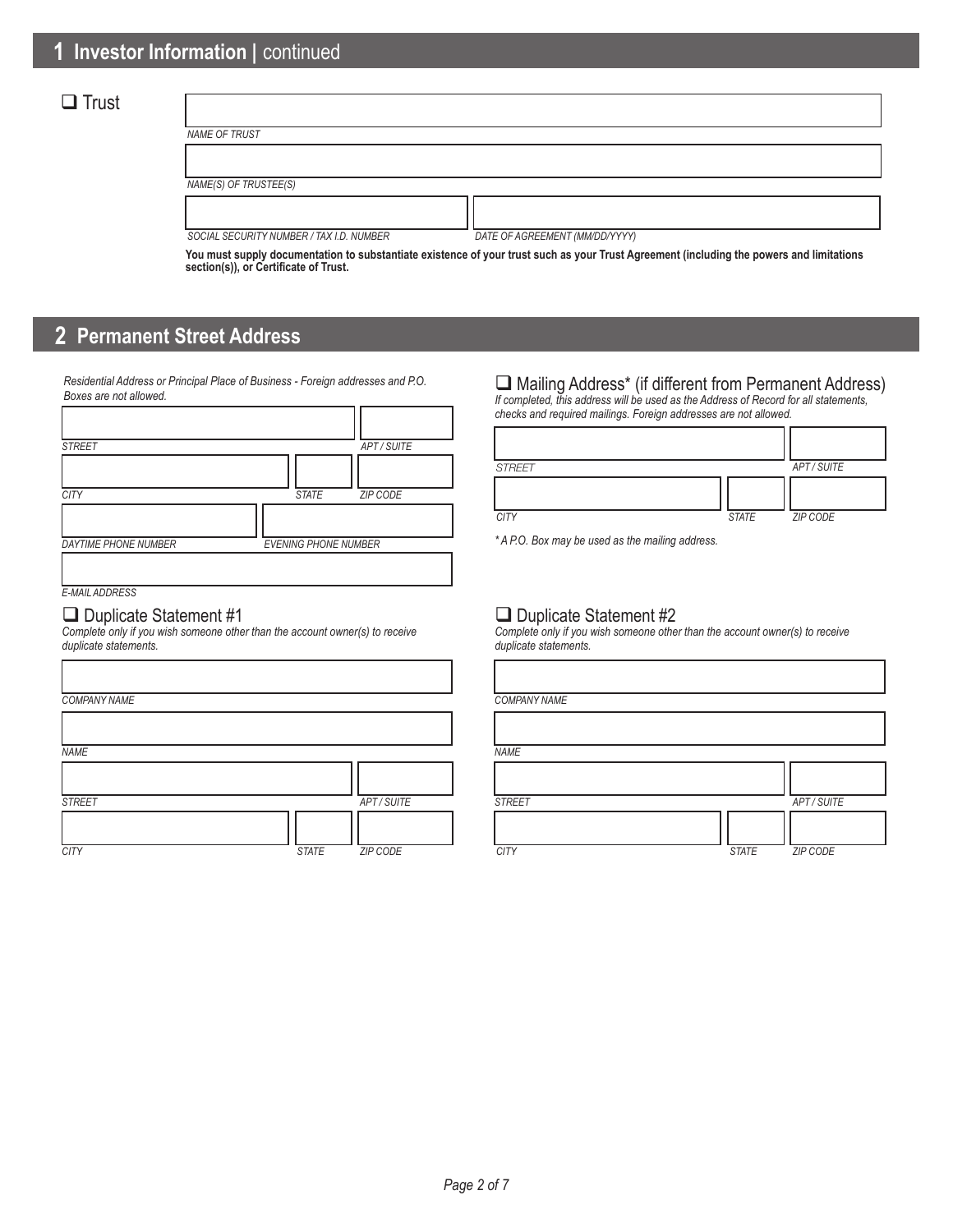# $\Box$  Trust

| NAME OF TRUST                            |                                |
|------------------------------------------|--------------------------------|
|                                          |                                |
| NAME(S) OF TRUSTEE(S)                    |                                |
|                                          |                                |
|                                          |                                |
| SOCIAL SECURITY NUMBER / TAX I.D. NUMBER | DATE OF AGREEMENT (MM/DD/YYYY) |

**You must supply documentation to substantiate existence of your trust such as your Trust Agreement (including the powers and limitations section(s)), or Certificate of Trust.**

# **2 Permanent Street Address**

*Residential Address or Principal Place of Business - Foreign addresses and P.O. Boxes are not allowed.*

| <b>STREET</b>               |                             | APT/SUITE |
|-----------------------------|-----------------------------|-----------|
|                             |                             |           |
| <b>CITY</b>                 | <b>STATE</b>                | ZIP CODE  |
|                             |                             |           |
| <b>DAYTIME PHONE NUMBER</b> | <b>EVENING PHONE NUMBER</b> |           |
|                             |                             |           |
| <b>E-MAIL ADDRESS</b>       |                             |           |

### Duplicate Statement #1

*Complete only if you wish someone other than the account owner(s) to receive duplicate statements.*

| <b>COMPANY NAME</b> |              |             | <b>COMPAI</b> |
|---------------------|--------------|-------------|---------------|
|                     |              |             |               |
| <b>NAME</b>         |              |             | <b>NAME</b>   |
|                     |              |             |               |
| <b>STREET</b>       |              | APT / SUITE | <b>STREET</b> |
| <b>CITY</b>         | <b>STATE</b> | ZIP CODE    | <b>CITY</b>   |

#### Mailing Address\* (if different from Permanent Address) *If completed, this address will be used as the Address of Record for all statements,*

*checks and required mailings. Foreign addresses are not allowed.*

| <b>STREET</b> |              | APT/SUITE |
|---------------|--------------|-----------|
|               |              |           |
| <b>CITY</b>   | <b>STATE</b> | ZIP CODE  |

*\* A P.O. Box may be used as the mailing address.*

### Duplicate Statement #2

*Complete only if you wish someone other than the account owner(s) to receive duplicate statements.*

|              |             | <b>COMPANY NAME</b> |              |             |
|--------------|-------------|---------------------|--------------|-------------|
|              |             |                     |              |             |
|              |             | <b>NAME</b>         |              |             |
|              |             |                     |              |             |
|              | APT / SUITE | <b>STREET</b>       |              | APT / SUITE |
|              |             |                     |              |             |
| <b>STATE</b> | ZIP CODE    | <b>CITY</b>         | <b>STATE</b> | ZIP CODE    |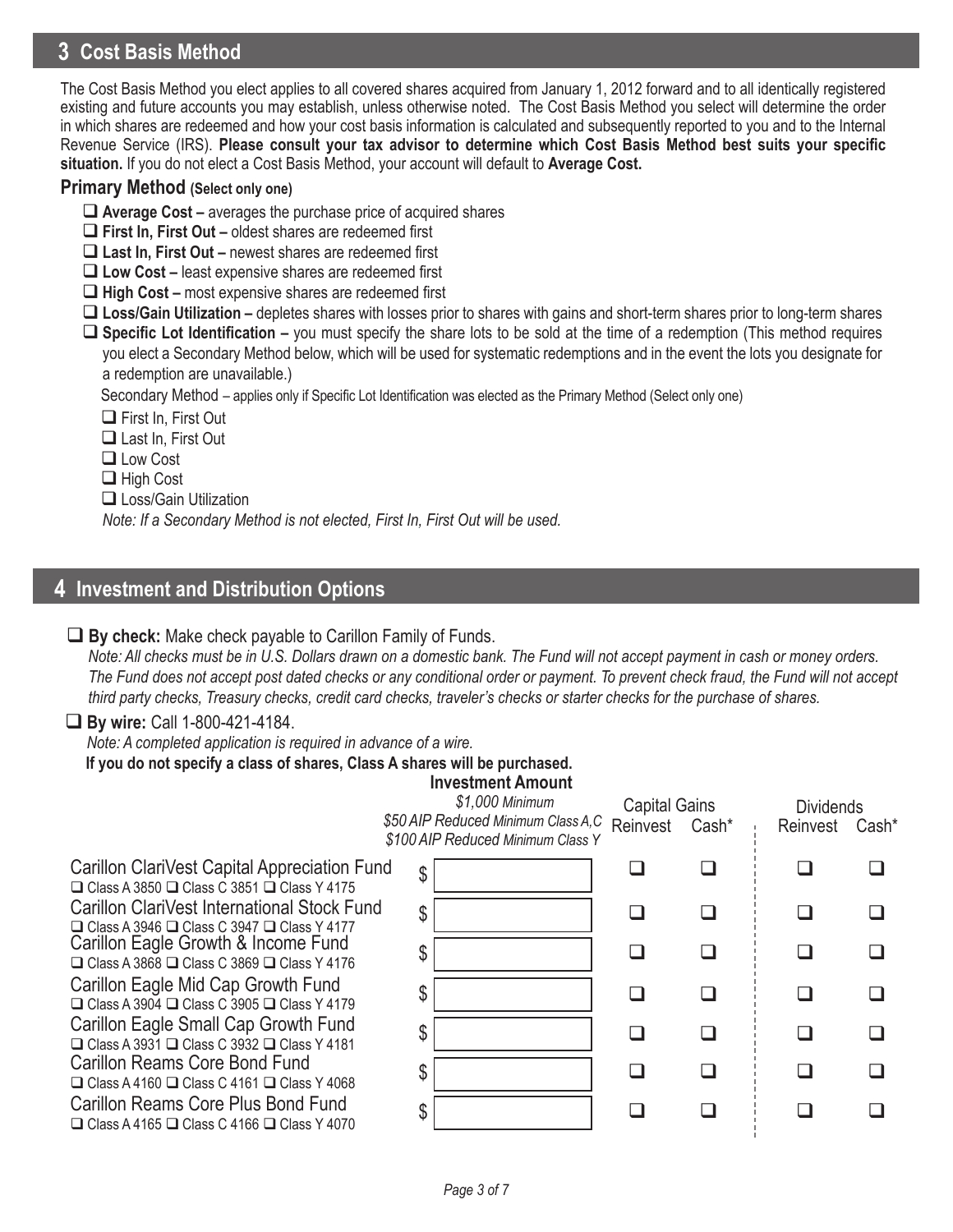# **3 Cost Basis Method**

The Cost Basis Method you elect applies to all covered shares acquired from January 1, 2012 forward and to all identically registered existing and future accounts you may establish, unless otherwise noted. The Cost Basis Method you select will determine the order in which shares are redeemed and how your cost basis information is calculated and subsequently reported to you and to the Internal Revenue Service (IRS). **Please consult your tax advisor to determine which Cost Basis Method best suits your specific situation.** If you do not elect a Cost Basis Method, your account will default to **Average Cost.**

### **Primary Method (Select only one)**

- **Average Cost –** averages the purchase price of acquired shares
- **First In, First Out** oldest shares are redeemed first
- **Last In, First Out** newest shares are redeemed first
- **Low Cost –** least expensive shares are redeemed first
- **High Cost** most expensive shares are redeemed first
- **Loss/Gain Utilization –** depletes shares with losses prior to shares with gains and short-term shares prior to long-term shares
- **Specific Lot Identification** you must specify the share lots to be sold at the time of a redemption (This method requires you elect a Secondary Method below, which will be used for systematic redemptions and in the event the lots you designate for a redemption are unavailable.)

Secondary Method – applies only if Specific Lot Identification was elected as the Primary Method (Select only one)

□ First In, First Out

Last In, First Out

 Low Cost

**□** High Cost

□ Loss/Gain Utilization

*Note: If a Secondary Method is not elected, First In, First Out will be used.*

# **4 Investment and Distribution Options**

### **By check:** Make check payable to Carillon Family of Funds.

 *Note: All checks must be in U.S. Dollars drawn on a domestic bank. The Fund will not accept payment in cash or money orders. The Fund does not accept post dated checks or any conditional order or payment. To prevent check fraud, the Fund will not accept third party checks, Treasury checks, credit card checks, traveler's checks or starter checks for the purchase of shares.*

### **By wire:** Call 1-800-421-4184.

*Note: A completed application is required in advance of a wire.*

**If you do not specify a class of shares, Class A shares will be purchased.**

### **Investment Amount**

 *\$1,000 Minimum \$50 AIP Reduced Minimum Class A,C \$100 AIP Reduced Minimum Class Y* Reinvest Capital Gains<br>
Capital Gains<br>
Cash\* Reinvest Cash\* Disc Cash\* Reinvest Cash\*  $\begin{array}{ccccccccccccccccc} \Box & & \Box & & \Box & & \vdots & \Box \end{array}$  $\begin{array}{ccccccccccccccccc} \Box & \Box & \Box & \Box & \Box & \Box \end{array}$  $\begin{array}{ccccccccccccccccc} \Box & & \Box & & \Box & & \vdots & \Box \end{array}$  $\begin{array}{ccccccccccccccccc} \Box & \Box & \Box & \Box & \Box & \Box \end{array}$  $\begin{array}{ccccccccccccccccc} \Box & \vdots & \Box & \Box & \Box \end{array}$  $\begin{array}{ccccccccccccccccc} \Box & \vdots & \Box & \Box & \Box \end{array}$  $\begin{array}{ccccccccccccccccc} \Box & \vdots & \Box & \Box & \Box \end{array}$  $\begin{array}{ccccccccccccccccc} \Box & \vdots & \Box & \Box & \Box \end{array}$  $\mathfrak{F}$ \$ \$ \$  $\begin{array}{ccccccccccccccccc} \Box & \Box & \Box & \Box & \Box & \Box \end{array}$  $\begin{array}{ccccccccccccccccc} \Box & \Box & \Box & \Box & \Box & \Box \end{array}$  $\begin{array}{ccccccccccccccccc} \Box & \Box & \Box & \Box & \Box & \Box \end{array}$  $\begin{array}{ccccccccccccccccc} \Box & \vdots & \Box & \Box & \Box \end{array}$  $\begin{array}{ccccccccccccccccc} \Box & \vdots & \Box & \Box & \Box \end{array}$  $\begin{array}{ccccccccccccccccc} \Box & \vdots & \Box & \Box & \Box \end{array}$ \$ \$ \$ Carillon Reams Core Bond Fund  $\Box$  Class A 4160  $\Box$  Class C 4161  $\Box$  Class Y 4068 Carillon Reams Core Plus Bond Fund  $\Box$  Class A 4165  $\Box$  Class C 4166  $\Box$  Class Y 4070 Carillon ClariVest Capital Appreciation Fund  $\Box$  Class A 3850  $\Box$  Class C 3851  $\Box$  Class Y 4175 Carillon ClariVest International Stock Fund  $\Box$  Class A 3946  $\Box$  Class C 3947  $\Box$  Class Y 4177 Carillon Eagle Growth & Income Fund  $\Box$  Class A 3868  $\Box$  Class C 3869  $\Box$  Class Y 4176 Carillon Eagle Mid Cap Growth Fund  $\Box$  Class A 3904  $\Box$  Class C 3905  $\Box$  Class Y 4179 Carillon Eagle Small Cap Growth Fund  $\Box$  Class A 3931  $\Box$  Class C 3932  $\Box$  Class Y 4181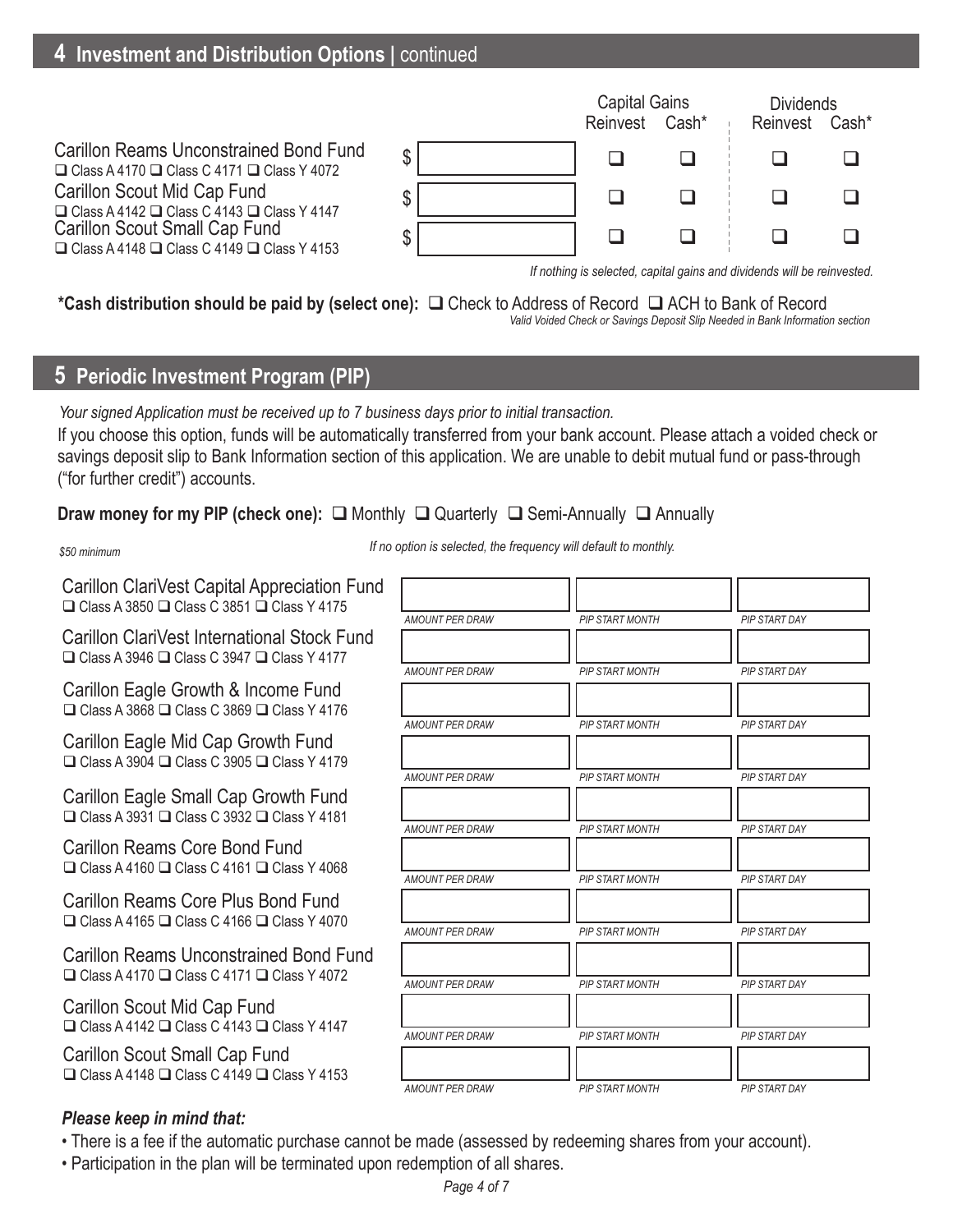# **4 Investment and Distribution Options |** continued



*If nothing is selected, capital gains and dividends will be reinvested.*

# \*Cash distribution should be paid by (select one): **□** Check to Address of Record □ ACH to Bank of Record

 *Valid Voided Check or Savings Deposit Slip Needed in Bank Information section*

# **5 Periodic Investment Program (PIP)**

If you choose this option, funds will be automatically transferred from your bank account. Please attach a voided check or savings deposit slip to Bank Information section of this application. We are unable to debit mutual fund or pass-through ("for further credit") accounts. *Your signed Application must be received up to 7 business days prior to initial transaction.*

### **Draw money for my PIP (check one):** □ Monthly □ Quarterly □ Semi-Annually □ Annually

#### *\$50 minimum*

*If no option is selected, the frequency will default to monthly.*

Carillon ClariVest Capital Appreciation Fund  $\Box$  Class A 3850  $\Box$  Class C 3851  $\Box$  Class Y 4175

Carillon ClariVest International Stock Fund  $\Box$  Class A 3946  $\Box$  Class C 3947  $\Box$  Class Y 4177

Carillon Eagle Growth & Income Fund  $\Box$  Class A 3868  $\Box$  Class C 3869  $\Box$  Class Y 4176

Carillon Eagle Mid Cap Growth Fund  $\Box$  Class A 3904  $\Box$  Class C 3905  $\Box$  Class Y 4179

Carillon Eagle Small Cap Growth Fund  $\Box$  Class A 3931  $\Box$  Class C 3932  $\Box$  Class Y 4181

Carillon Reams Core Bond Fund  $\Box$  Class A 4160  $\Box$  Class C 4161  $\Box$  Class Y 4068

Carillon Reams Core Plus Bond Fund  $\Box$  Class A 4165  $\Box$  Class C 4166  $\Box$  Class Y 4070

Carillon Reams Unconstrained Bond Fund  $\Box$  Class A 4170  $\Box$  Class C 4171  $\Box$  Class Y 4072

Carillon Scout Mid Cap Fund  $\Box$  Class A 4142  $\Box$  Class C 4143  $\Box$  Class Y 4147

Carillon Scout Small Cap Fund  $\Box$  Class A 4148  $\Box$  Class C 4149  $\Box$  Class Y 4153

#### *AMOUNT PER DRAW AMOUNT PER DRAW AMOUNT PER DRAW AMOUNT PER DRAW AMOUNT PER DRAW PIP START MONTH PIP START MONTH PIP START MONTH PIP START MONTH PIP START MONTH PIP START DAY PIP START DAY PIP START DAY PIP START DAY PIP START DAY AMOUNT PER DRAW PIP START MONTH PIP START DAY AMOUNT PER DRAW AMOUNT PER DRAW AMOUNT PER DRAW AMOUNT PER DRAW PIP START MONTH PIP START MONTH PIP START MONTH PIP START MONTH PIP START DAY PIP START DAY PIP START DAY PIP START DAY*

### *Please keep in mind that:*

• There is a fee if the automatic purchase cannot be made (assessed by redeeming shares from your account).

• Participation in the plan will be terminated upon redemption of all shares.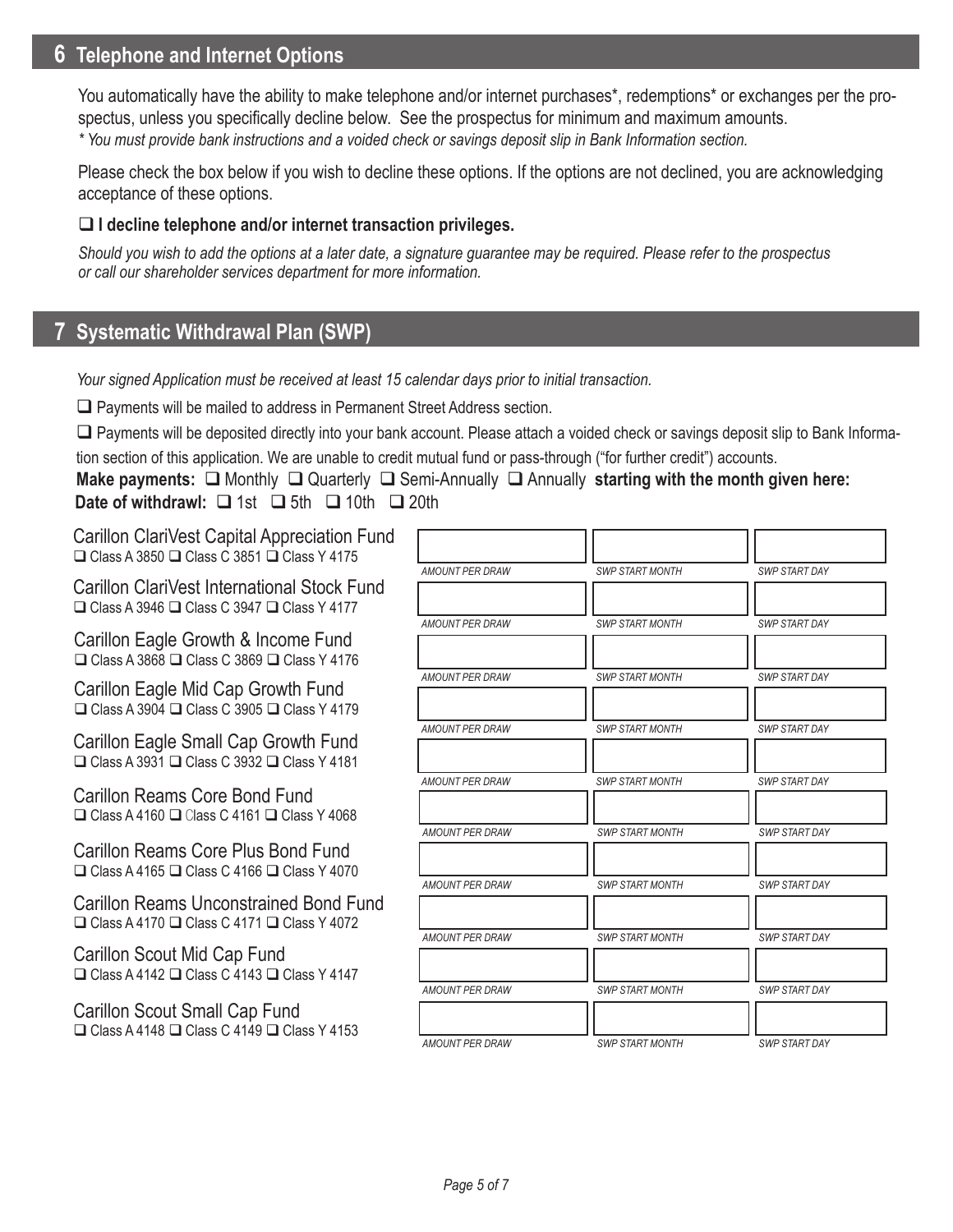## **6 Telephone and Internet Options**

You automatically have the ability to make telephone and/or internet purchases\*, redemptions\* or exchanges per the prospectus, unless you specifically decline below. See the prospectus for minimum and maximum amounts.

*\* You must provide bank instructions and a voided check or savings deposit slip in Bank Information section.* 

Please check the box below if you wish to decline these options. If the options are not declined, you are acknowledging acceptance of these options.

### **I decline telephone and/or internet transaction privileges.**

*Should you wish to add the options at a later date, a signature guarantee may be required. Please refer to the prospectus or call our shareholder services department for more information.*

## **7 Systematic Withdrawal Plan (SWP)**

*Your signed Application must be received at least 15 calendar days prior to initial transaction.*

 $\Box$  Payments will be mailed to address in Permanent Street Address section.

Payments will be deposited directly into your bank account. Please attach a voided check or savings deposit slip to Bank Informa-

tion section of this application. We are unable to credit mutual fund or pass-through ("for further credit") accounts.

**Make payments:** □ Monthly □ Quarterly □ Semi-Annually □ Annually starting with the month given here: **Date of withdrawl:**  $\Box$  1st  $\Box$  5th  $\Box$  10th  $\Box$  20th

Carillon ClariVest Capital Appreciation Fund  $\Box$  Class A 3850  $\Box$  Class C 3851  $\Box$  Class Y 4175

Carillon ClariVest International Stock Fund  $\Box$  Class A 3946  $\Box$  Class C 3947  $\Box$  Class Y 4177

Carillon Eagle Growth & Income Fund  $\Box$  Class A 3868  $\Box$  Class C 3869  $\Box$  Class Y 4176

Carillon Eagle Mid Cap Growth Fund  $\Box$  Class A 3904  $\Box$  Class C 3905  $\Box$  Class Y 4179

Carillon Eagle Small Cap Growth Fund  $\Box$  Class A 3931  $\Box$  Class C 3932  $\Box$  Class Y 4181

Carillon Reams Core Bond Fund  $\Box$  Class A 4160  $\Box$  Class C 4161  $\Box$  Class Y 4068

Carillon Reams Core Plus Bond Fund  $\Box$  Class A 4165  $\Box$  Class C 4166  $\Box$  Class Y 4070

Carillon Reams Unconstrained Bond Fund  $\Box$  Class A 4170  $\Box$  Class C 4171  $\Box$  Class Y 4072

Carillon Scout Mid Cap Fund  $\Box$  Class A 4142  $\Box$  Class C 4143  $\Box$  Class Y 4147

Carillon Scout Small Cap Fund  $\Box$  Class A 4148  $\Box$  Class C 4149  $\Box$  Class Y 4153

| <b>AMOUNT PER DRAW</b> | <b>SWP START MONTH</b> | <b>SWP START DAY</b> |
|------------------------|------------------------|----------------------|
|                        |                        |                      |
| AMOUNT PER DRAW        | <b>SWP START MONTH</b> | <b>SWP START DAY</b> |
| <b>AMOUNT PER DRAW</b> | <b>SWP START MONTH</b> | <b>SWP START DAY</b> |
| <b>AMOUNT PER DRAW</b> | <b>SWP START MONTH</b> | <b>SWP START DAY</b> |
|                        |                        |                      |
| <b>AMOUNT PER DRAW</b> | <b>SWP START MONTH</b> | <b>SWP START DAY</b> |
| <b>AMOUNT PER DRAW</b> | <b>SWP START MONTH</b> | <b>SWP START DAY</b> |
| AMOUNT PER DRAW        | <b>SWP START MONTH</b> | <b>SWP START DAY</b> |
| <b>AMOUNT PER DRAW</b> | <b>SWP START MONTH</b> | <b>SWP START DAY</b> |
|                        |                        |                      |
| <b>AMOUNT PER DRAW</b> | <b>SWP START MONTH</b> | <b>SWP START DAY</b> |
| <b>AMOUNT PER DRAW</b> | <b>SWP START MONTH</b> | <b>SWP START DAY</b> |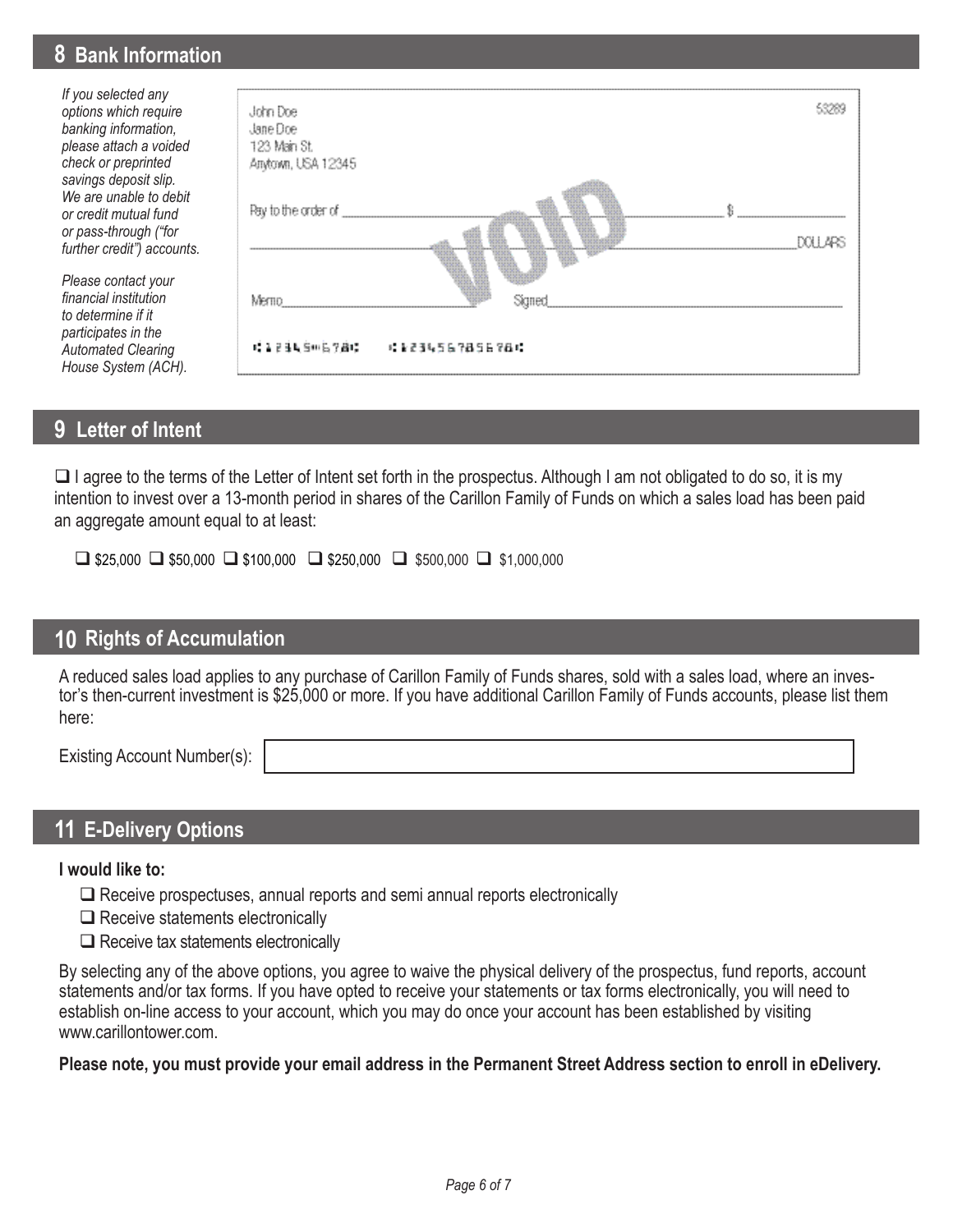## **78 Bank Information Bank Information**

*If you selected any options which require banking information, please attach a voided check or preprinted savings deposit slip. We are unable to debit or credit mutual fund or pass-through ("for further credit") accounts.* 

*Please contact your financial institution to determine if it participates in the Automated Clearing House System (ACH).*



## **9 Letter of Intent**

 $\Box$  I agree to the terms of the Letter of Intent set forth in the prospectus. Although I am not obligated to do so, it is my intention to invest over a 13-month period in shares of the Carillon Family of Funds on which a sales load has been paid an aggregate amount equal to at least:

 $\Box$  \$25,000  $\Box$  \$50,000  $\Box$  \$100,000  $\Box$  \$250,000  $\Box$  \$500,000  $\Box$  \$1,000,000

### **10 Rights of Accumulation**

A reduced sales load applies to any purchase of Carillon Family of Funds shares, sold with a sales load, where an investor's then-current investment is \$25,000 or more. If you have additional Carillon Family of Funds accounts, please list them here:

Existing Account Number(s):

### **11 E-Delivery Options**

**I would like to:**

- $\Box$  Receive prospectuses, annual reports and semi annual reports electronically
- $\Box$  Receive statements electronically
- $\Box$  Receive tax statements electronically

By selecting any of the above options, you agree to waive the physical delivery of the prospectus, fund reports, account statements and/or tax forms. If you have opted to receive your statements or tax forms electronically, you will need to establish on-line access to your account, which you may do once your account has been established by visiting www.carillontower.com.

### **Please note, you must provide your email address in the Permanent Street Address section to enroll in eDelivery.**